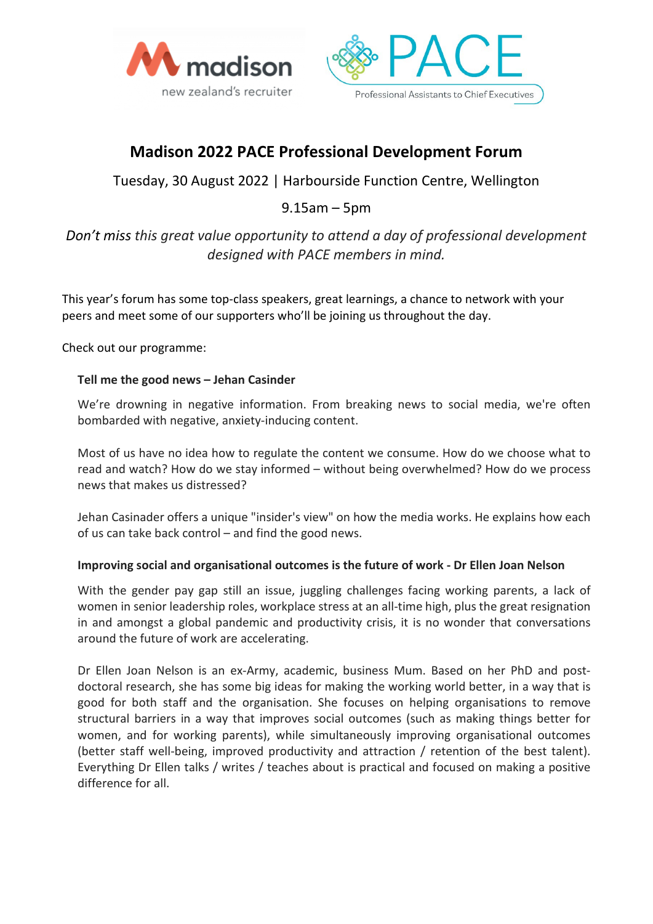



# **Madison 2022 PACE Professional Development Forum**

Tuesday, 30 August 2022 | Harbourside Function Centre, Wellington

## 9.15am – 5pm

## *Don't miss this great value opportunity to attend a day of professional development designed with PACE members in mind.*

This year's forum has some top-class speakers, great learnings, a chance to network with your peers and meet some of our supporters who'll be joining us throughout the day.

Check out our programme:

#### **Tell me the good news – Jehan Casinder**

We're drowning in negative information. From breaking news to social media, we're often bombarded with negative, anxiety-inducing content.

Most of us have no idea how to regulate the content we consume. How do we choose what to read and watch? How do we stay informed – without being overwhelmed? How do we process news that makes us distressed?

Jehan Casinader offers a unique "insider's view" on how the media works. He explains how each of us can take back control – and find the good news.

#### **Improving social and organisational outcomes is the future of work - Dr Ellen Joan Nelson**

With the gender pay gap still an issue, juggling challenges facing working parents, a lack of women in senior leadership roles, workplace stress at an all-time high, plus the great resignation in and amongst a global pandemic and productivity crisis, it is no wonder that conversations around the future of work are accelerating.

Dr Ellen Joan Nelson is an ex-Army, academic, business Mum. Based on her PhD and postdoctoral research, she has some big ideas for making the working world better, in a way that is good for both staff and the organisation. She focuses on helping organisations to remove structural barriers in a way that improves social outcomes (such as making things better for women, and for working parents), while simultaneously improving organisational outcomes (better staff well-being, improved productivity and attraction / retention of the best talent). Everything Dr Ellen talks / writes / teaches about is practical and focused on making a positive difference for all.